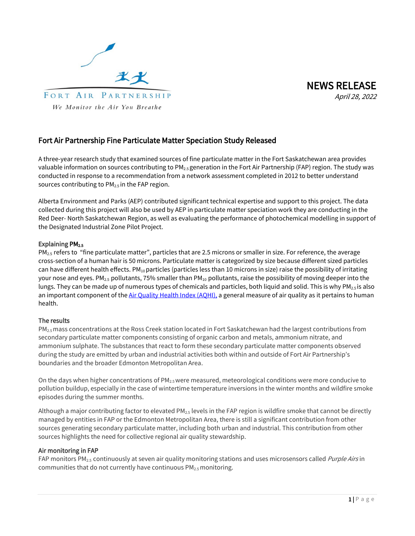



# Fort Air Partnership Fine Particulate Matter Speciation Study Released

A three-year research study that examined sources of fine particulate matter in the Fort Saskatchewan area provides valuable information on sources contributing to PM<sub>2.5</sub> generation in the Fort Air Partnership (FAP) region. The study was conducted in response to a recommendation from a network assessment completed in 2012 to better understand sources contributing to PM<sub>2.5</sub> in the FAP region.

Alberta Environment and Parks (AEP) contributed significant technical expertise and support to this project. The data collected during this project will also be used by AEP in particulate matter speciation work they are conducting in the Red Deer- North Saskatchewan Region, as well as evaluating the performance of photochemical modelling in support of the Designated Industrial Zone Pilot Project.

### Explaining PM<sub>2.5</sub>

PM2.5 refers to "fine particulate matter", particles that are 2.5 microns or smaller in size. For reference, the average cross-section of a human hair is 50 microns. Particulate matter is categorized by size because different sized particles can have different health effects.  $PM_{10}$  particles (particles less than 10 microns in size) raise the possibility of irritating your nose and eyes. PM<sub>2.5</sub> pollutants, 75% smaller than PM<sub>10</sub> pollutants, raise the possibility of moving deeper into the lungs. They can be made up of numerous types of chemicals and particles, both liquid and solid. This is why PM<sub>2.5</sub> is also an important component of the Air Quality [Health Index \(AQHI\),](https://www.fortair.org/monitoring/health-index/) a general measure of air quality as it pertains to human health.

## The results

PM2.5 mass concentrations at the Ross Creek station located in Fort Saskatchewan had the largest contributions from secondary particulate matter components consisting of organic carbon and metals, ammonium nitrate, and ammonium sulphate. The substances that react to form these secondary particulate matter components observed during the study are emitted by urban and industrial activities both within and outside of Fort Air Partnership's boundaries and the broader Edmonton Metropolitan Area.

On the days when higher concentrations of PM<sub>2.5</sub> were measured, meteorological conditions were more conducive to pollution buildup, especially in the case of wintertime temperature inversions in the winter months and wildfire smoke episodes during the summer months.

Although a major contributing factor to elevated PM $_{2.5}$  levels in the FAP region is wildfire smoke that cannot be directly managed by entities in FAP or the Edmonton Metropolitan Area, there is still a significant contribution from other sources generating secondary particulate matter, including both urban and industrial. This contribution from other sources highlights the need for collective regional air quality stewardship.

### Air monitoring in FAP

FAP monitors PM<sub>2.5</sub> continuously at seven air quality monitoring stations and uses microsensors called *Purple Airs* in communities that do not currently have continuous PM2.5 monitoring.